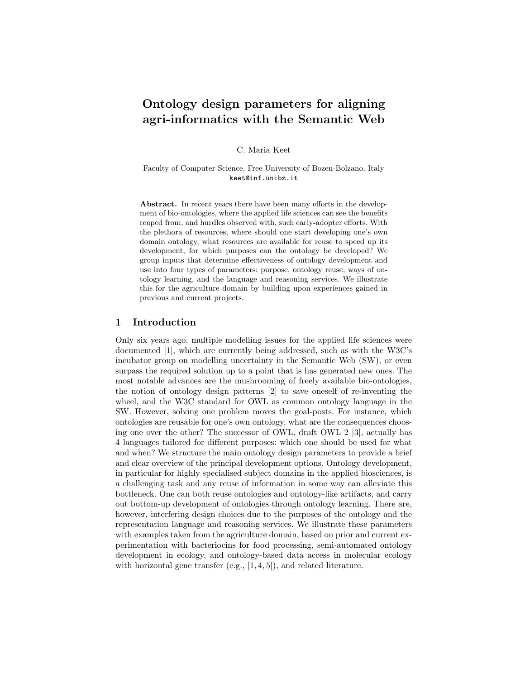# Ontology design parameters for aligning agri-informatics with the Semantic Web

C. Maria Keet

Faculty of Computer Science, Free University of Bozen-Bolzano, Italy keet@inf.unibz.it

Abstract. In recent years there have been many efforts in the development of bio-ontologies, where the applied life sciences can see the benefits reaped from, and hurdles observed with, such early-adopter efforts. With the plethora of resources, where should one start developing one's own domain ontology, what resources are available for reuse to speed up its development, for which purposes can the ontology be developed? We group inputs that determine effectiveness of ontology development and use into four types of parameters: purpose, ontology reuse, ways of ontology learning, and the language and reasoning services. We illustrate this for the agriculture domain by building upon experiences gained in previous and current projects.

### 1 Introduction

Only six years ago, multiple modelling issues for the applied life sciences were documented [1], which are currently being addressed, such as with the W3C's incubator group on modelling uncertainty in the Semantic Web (SW), or even surpass the required solution up to a point that is has generated new ones. The most notable advances are the mushrooming of freely available bio-ontologies, the notion of ontology design patterns [2] to save oneself of re-inventing the wheel, and the W3C standard for OWL as common ontology language in the SW. However, solving one problem moves the goal-posts. For instance, which ontologies are reusable for one's own ontology, what are the consequences choosing one over the other? The successor of OWL, draft OWL 2 [3], actually has 4 languages tailored for different purposes: which one should be used for what and when? We structure the main ontology design parameters to provide a brief and clear overview of the principal development options. Ontology development, in particular for highly specialised subject domains in the applied biosciences, is a challenging task and any reuse of information in some way can alleviate this bottleneck. One can both reuse ontologies and ontology-like artifacts, and carry out bottom-up development of ontologies through ontology learning. There are, however, interfering design choices due to the purposes of the ontology and the representation language and reasoning services. We illustrate these parameters with examples taken from the agriculture domain, based on prior and current experimentation with bacteriocins for food processing, semi-automated ontology development in ecology, and ontology-based data access in molecular ecology with horizontal gene transfer (e.g.,  $[1, 4, 5]$ ), and related literature.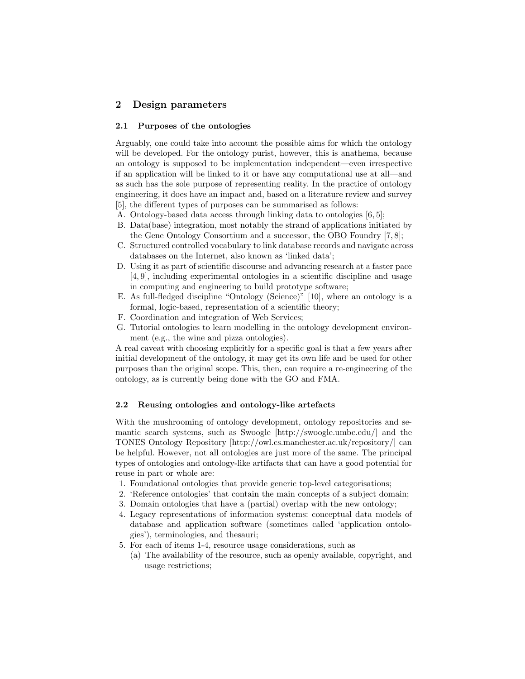# 2 Design parameters

#### 2.1 Purposes of the ontologies

Arguably, one could take into account the possible aims for which the ontology will be developed. For the ontology purist, however, this is anathema, because an ontology is supposed to be implementation independent—even irrespective if an application will be linked to it or have any computational use at all—and as such has the sole purpose of representing reality. In the practice of ontology engineering, it does have an impact and, based on a literature review and survey [5], the different types of purposes can be summarised as follows:

- A. Ontology-based data access through linking data to ontologies [6, 5];
- B. Data(base) integration, most notably the strand of applications initiated by the Gene Ontology Consortium and a successor, the OBO Foundry [7, 8];
- C. Structured controlled vocabulary to link database records and navigate across databases on the Internet, also known as 'linked data';
- D. Using it as part of scientific discourse and advancing research at a faster pace [4, 9], including experimental ontologies in a scientific discipline and usage in computing and engineering to build prototype software;
- E. As full-fledged discipline "Ontology (Science)" [10], where an ontology is a formal, logic-based, representation of a scientific theory;
- F. Coordination and integration of Web Services;
- G. Tutorial ontologies to learn modelling in the ontology development environment (e.g., the wine and pizza ontologies).

A real caveat with choosing explicitly for a specific goal is that a few years after initial development of the ontology, it may get its own life and be used for other purposes than the original scope. This, then, can require a re-engineering of the ontology, as is currently being done with the GO and FMA.

#### 2.2 Reusing ontologies and ontology-like artefacts

With the mushrooming of ontology development, ontology repositories and semantic search systems, such as Swoogle [http://swoogle.umbc.edu/] and the TONES Ontology Repository [http://owl.cs.manchester.ac.uk/repository/] can be helpful. However, not all ontologies are just more of the same. The principal types of ontologies and ontology-like artifacts that can have a good potential for reuse in part or whole are:

- 1. Foundational ontologies that provide generic top-level categorisations;
- 2. 'Reference ontologies' that contain the main concepts of a subject domain;
- 3. Domain ontologies that have a (partial) overlap with the new ontology;
- 4. Legacy representations of information systems: conceptual data models of database and application software (sometimes called 'application ontologies'), terminologies, and thesauri;
- 5. For each of items 1-4, resource usage considerations, such as
	- (a) The availability of the resource, such as openly available, copyright, and usage restrictions;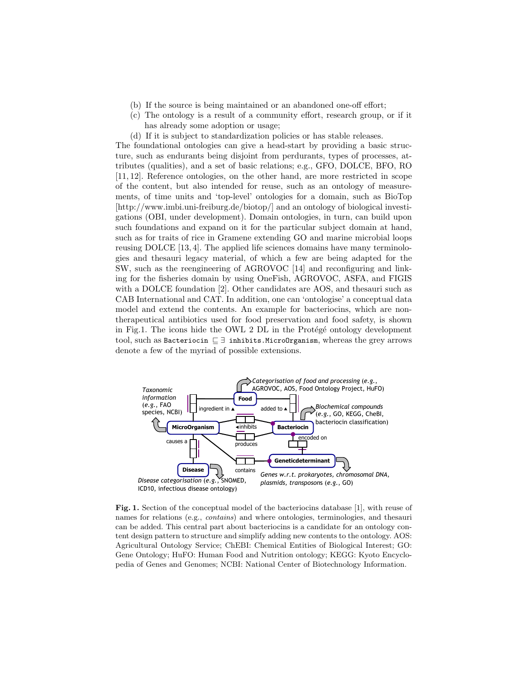- (b) If the source is being maintained or an abandoned one-off effort;
- (c) The ontology is a result of a community effort, research group, or if it has already some adoption or usage;
- (d) If it is subject to standardization policies or has stable releases.

The foundational ontologies can give a head-start by providing a basic structure, such as endurants being disjoint from perdurants, types of processes, attributes (qualities), and a set of basic relations; e.g., GFO, DOLCE, BFO, RO [11, 12]. Reference ontologies, on the other hand, are more restricted in scope of the content, but also intended for reuse, such as an ontology of measurements, of time units and 'top-level' ontologies for a domain, such as BioTop [http://www.imbi.uni-freiburg.de/biotop/] and an ontology of biological investigations (OBI, under development). Domain ontologies, in turn, can build upon such foundations and expand on it for the particular subject domain at hand, such as for traits of rice in Gramene extending GO and marine microbial loops reusing DOLCE [13, 4]. The applied life sciences domains have many terminologies and thesauri legacy material, of which a few are being adapted for the SW, such as the reengineering of AGROVOC [14] and reconfiguring and linking for the fisheries domain by using OneFish, AGROVOC, ASFA, and FIGIS with a DOLCE foundation [2]. Other candidates are AOS, and thesauri such as CAB International and CAT. In addition, one can 'ontologise' a conceptual data model and extend the contents. An example for bacteriocins, which are nontherapeutical antibiotics used for food preservation and food safety, is shown in Fig.1. The icons hide the OWL  $2$  DL in the Protégé ontology development tool, such as Bacteriocin  $\sqsubseteq \exists$  inhibits. MicroOrganism, whereas the grey arrows denote a few of the myriad of possible extensions.



Fig. 1. Section of the conceptual model of the bacteriocins database [1], with reuse of names for relations (e.g., *contains*) and where ontologies, terminologies, and thesauri can be added. This central part about bacteriocins is a candidate for an ontology content design pattern to structure and simplify adding new contents to the ontology. AOS: Agricultural Ontology Service; ChEBI: Chemical Entities of Biological Interest; GO: Gene Ontology; HuFO: Human Food and Nutrition ontology; KEGG: Kyoto Encyclopedia of Genes and Genomes; NCBI: National Center of Biotechnology Information.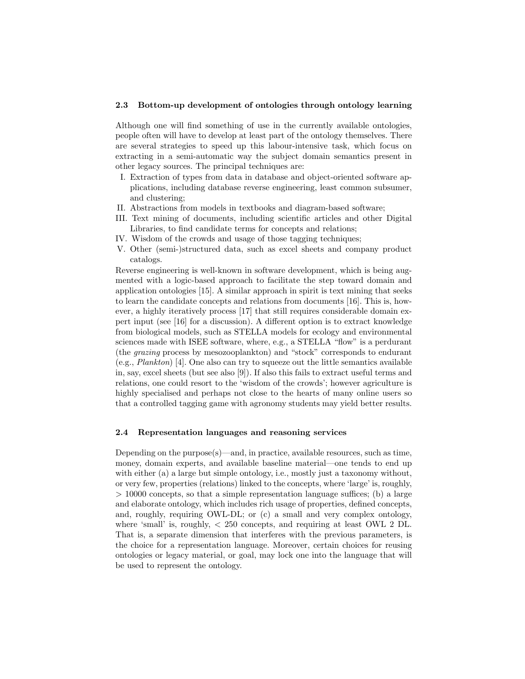#### 2.3 Bottom-up development of ontologies through ontology learning

Although one will find something of use in the currently available ontologies, people often will have to develop at least part of the ontology themselves. There are several strategies to speed up this labour-intensive task, which focus on extracting in a semi-automatic way the subject domain semantics present in other legacy sources. The principal techniques are:

- I. Extraction of types from data in database and object-oriented software applications, including database reverse engineering, least common subsumer, and clustering;
- II. Abstractions from models in textbooks and diagram-based software;
- III. Text mining of documents, including scientific articles and other Digital Libraries, to find candidate terms for concepts and relations;
- IV. Wisdom of the crowds and usage of those tagging techniques;
- V. Other (semi-)structured data, such as excel sheets and company product catalogs.

Reverse engineering is well-known in software development, which is being augmented with a logic-based approach to facilitate the step toward domain and application ontologies [15]. A similar approach in spirit is text mining that seeks to learn the candidate concepts and relations from documents [16]. This is, however, a highly iteratively process [17] that still requires considerable domain expert input (see [16] for a discussion). A different option is to extract knowledge from biological models, such as STELLA models for ecology and environmental sciences made with ISEE software, where, e.g., a STELLA "flow" is a perdurant (the grazing process by mesozooplankton) and "stock" corresponds to endurant (e.g., Plankton) [4]. One also can try to squeeze out the little semantics available in, say, excel sheets (but see also [9]). If also this fails to extract useful terms and relations, one could resort to the 'wisdom of the crowds'; however agriculture is highly specialised and perhaps not close to the hearts of many online users so that a controlled tagging game with agronomy students may yield better results.

#### 2.4 Representation languages and reasoning services

Depending on the purpose $(s)$ —and, in practice, available resources, such as time, money, domain experts, and available baseline material—one tends to end up with either (a) a large but simple ontology, i.e., mostly just a taxonomy without, or very few, properties (relations) linked to the concepts, where 'large' is, roughly,  $> 10000$  concepts, so that a simple representation language suffices; (b) a large and elaborate ontology, which includes rich usage of properties, defined concepts, and, roughly, requiring OWL-DL; or (c) a small and very complex ontology, where 'small' is, roughly,  $\langle 250 \text{ concepts}, \text{ and requiring at least OWL } 2 \text{ DL}.$ That is, a separate dimension that interferes with the previous parameters, is the choice for a representation language. Moreover, certain choices for reusing ontologies or legacy material, or goal, may lock one into the language that will be used to represent the ontology.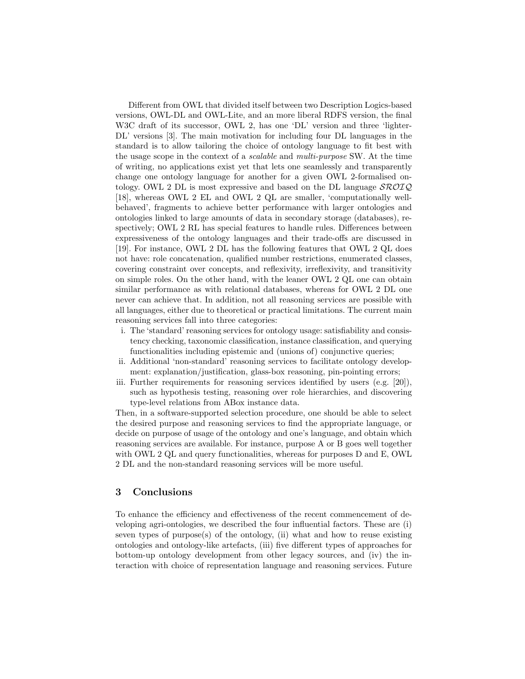Different from OWL that divided itself between two Description Logics-based versions, OWL-DL and OWL-Lite, and an more liberal RDFS version, the final W3C draft of its successor, OWL 2, has one 'DL' version and three 'lighter-DL' versions [3]. The main motivation for including four DL languages in the standard is to allow tailoring the choice of ontology language to fit best with the usage scope in the context of a scalable and multi-purpose SW. At the time of writing, no applications exist yet that lets one seamlessly and transparently change one ontology language for another for a given OWL 2-formalised ontology. OWL 2 DL is most expressive and based on the DL language  $\mathcal{SROIQ}$ [18], whereas OWL 2 EL and OWL 2 QL are smaller, 'computationally wellbehaved', fragments to achieve better performance with larger ontologies and ontologies linked to large amounts of data in secondary storage (databases), respectively; OWL 2 RL has special features to handle rules. Differences between expressiveness of the ontology languages and their trade-offs are discussed in [19]. For instance, OWL 2 DL has the following features that OWL 2 QL does not have: role concatenation, qualified number restrictions, enumerated classes, covering constraint over concepts, and reflexivity, irreflexivity, and transitivity on simple roles. On the other hand, with the leaner OWL 2 QL one can obtain similar performance as with relational databases, whereas for OWL 2 DL one never can achieve that. In addition, not all reasoning services are possible with all languages, either due to theoretical or practical limitations. The current main reasoning services fall into three categories:

- i. The 'standard' reasoning services for ontology usage: satisfiability and consistency checking, taxonomic classification, instance classification, and querying functionalities including epistemic and (unions of) conjunctive queries;
- ii. Additional 'non-standard' reasoning services to facilitate ontology development: explanation/justification, glass-box reasoning, pin-pointing errors;
- iii. Further requirements for reasoning services identified by users (e.g. [20]), such as hypothesis testing, reasoning over role hierarchies, and discovering type-level relations from ABox instance data.

Then, in a software-supported selection procedure, one should be able to select the desired purpose and reasoning services to find the appropriate language, or decide on purpose of usage of the ontology and one's language, and obtain which reasoning services are available. For instance, purpose A or B goes well together with OWL 2 QL and query functionalities, whereas for purposes D and E, OWL 2 DL and the non-standard reasoning services will be more useful.

## 3 Conclusions

To enhance the efficiency and effectiveness of the recent commencement of developing agri-ontologies, we described the four influential factors. These are (i) seven types of purpose(s) of the ontology, (ii) what and how to reuse existing ontologies and ontology-like artefacts, (iii) five different types of approaches for bottom-up ontology development from other legacy sources, and (iv) the interaction with choice of representation language and reasoning services. Future